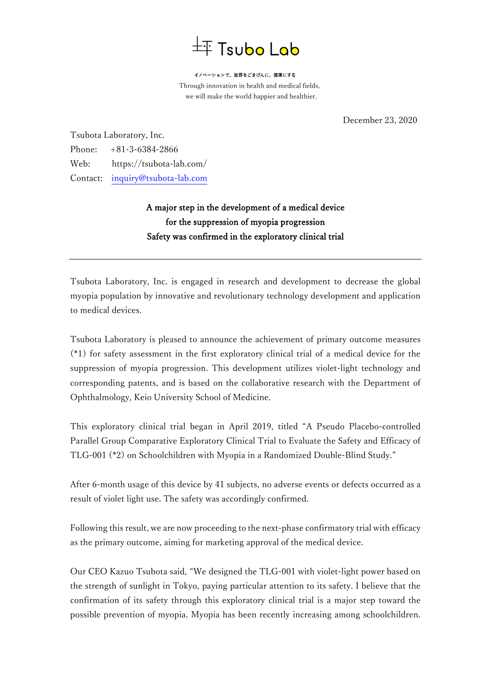## $\pm$  Tsubo Lab

イノベーションで、世界をごきげんに、健康にする Through innovation in health and medical fields, we will make the world happier and healthier.

December 23, 2020

Tsubota Laboratory, Inc. Phone: +81-3-6384-2866 Web: https://tsubota-lab.com/ Contact: [inquiry@tsubota-lab.com](mailto:inquiry@tsubota-lab.com)

## A major step in the development of a medical device for the suppression of myopia progression Safety was confirmed in the exploratory clinical trial

Tsubota Laboratory, Inc. is engaged in research and development to decrease the global myopia population by innovative and revolutionary technology development and application to medical devices.

Tsubota Laboratory is pleased to announce the achievement of primary outcome measures (\*1) for safety assessment in the first exploratory clinical trial of a medical device for the suppression of myopia progression. This development utilizes violet-light technology and corresponding patents, and is based on the collaborative research with the Department of Ophthalmology, Keio University School of Medicine.

This exploratory clinical trial began in April 2019, titled "A Pseudo Placebo-controlled Parallel Group Comparative Exploratory Clinical Trial to Evaluate the Safety and Efficacy of TLG-001 (\*2) on Schoolchildren with Myopia in a Randomized Double-Blind Study."

After 6-month usage of this device by 41 subjects, no adverse events or defects occurred as a result of violet light use. The safety was accordingly confirmed.

Following this result, we are now proceeding to the next-phase confirmatory trial with efficacy as the primary outcome, aiming for marketing approval of the medical device.

Our CEO Kazuo Tsubota said, "We designed the TLG-001 with violet-light power based on the strength of sunlight in Tokyo, paying particular attention to its safety. I believe that the confirmation of its safety through this exploratory clinical trial is a major step toward the possible prevention of myopia. Myopia has been recently increasing among schoolchildren.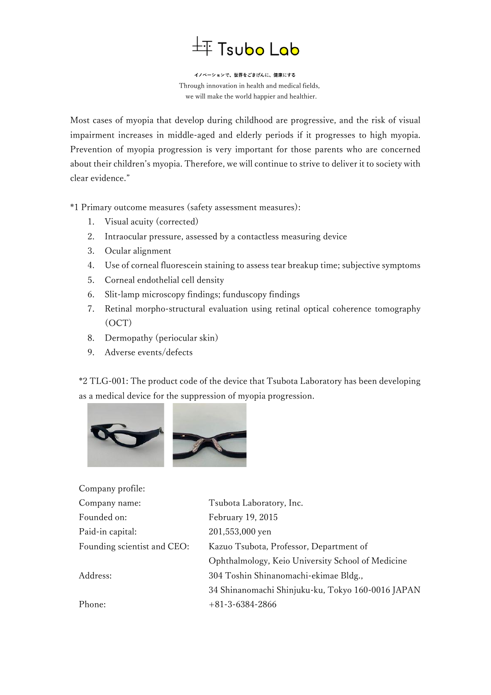## $\bar{+}$  Tsubo Lab

イノベーションで、世界をごきげんに、健康にする Through innovation in health and medical fields, we will make the world happier and healthier.

Most cases of myopia that develop during childhood are progressive, and the risk of visual impairment increases in middle-aged and elderly periods if it progresses to high myopia. Prevention of myopia progression is very important for those parents who are concerned about their children's myopia. Therefore, we will continue to strive to deliver it to society with clear evidence."

\*1 Primary outcome measures (safety assessment measures):

- 1. Visual acuity (corrected)
- 2. Intraocular pressure, assessed by a contactless measuring device
- 3. Ocular alignment
- 4. Use of corneal fluorescein staining to assess tear breakup time; subjective symptoms
- 5. Corneal endothelial cell density
- 6. Slit-lamp microscopy findings; funduscopy findings
- 7. Retinal morpho-structural evaluation using retinal optical coherence tomography (OCT)
- 8. Dermopathy (periocular skin)
- 9. Adverse events/defects

Company profile:

\*2 TLG-001: The product code of the device that Tsubota Laboratory has been developing as a medical device for the suppression of myopia progression.



| Company prome.              |                                                   |
|-----------------------------|---------------------------------------------------|
| Company name:               | Tsubota Laboratory, Inc.                          |
| Founded on:                 | February 19, 2015                                 |
| Paid-in capital:            | 201,553,000 yen                                   |
| Founding scientist and CEO: | Kazuo Tsubota, Professor, Department of           |
|                             | Ophthalmology, Keio University School of Medicine |
| Address:                    | 304 Toshin Shinanomachi-ekimae Bldg.,             |
|                             | 34 Shinanomachi Shinjuku-ku, Tokyo 160-0016 JAPAN |
| Phone:                      | $+81-3-6384-2866$                                 |
|                             |                                                   |